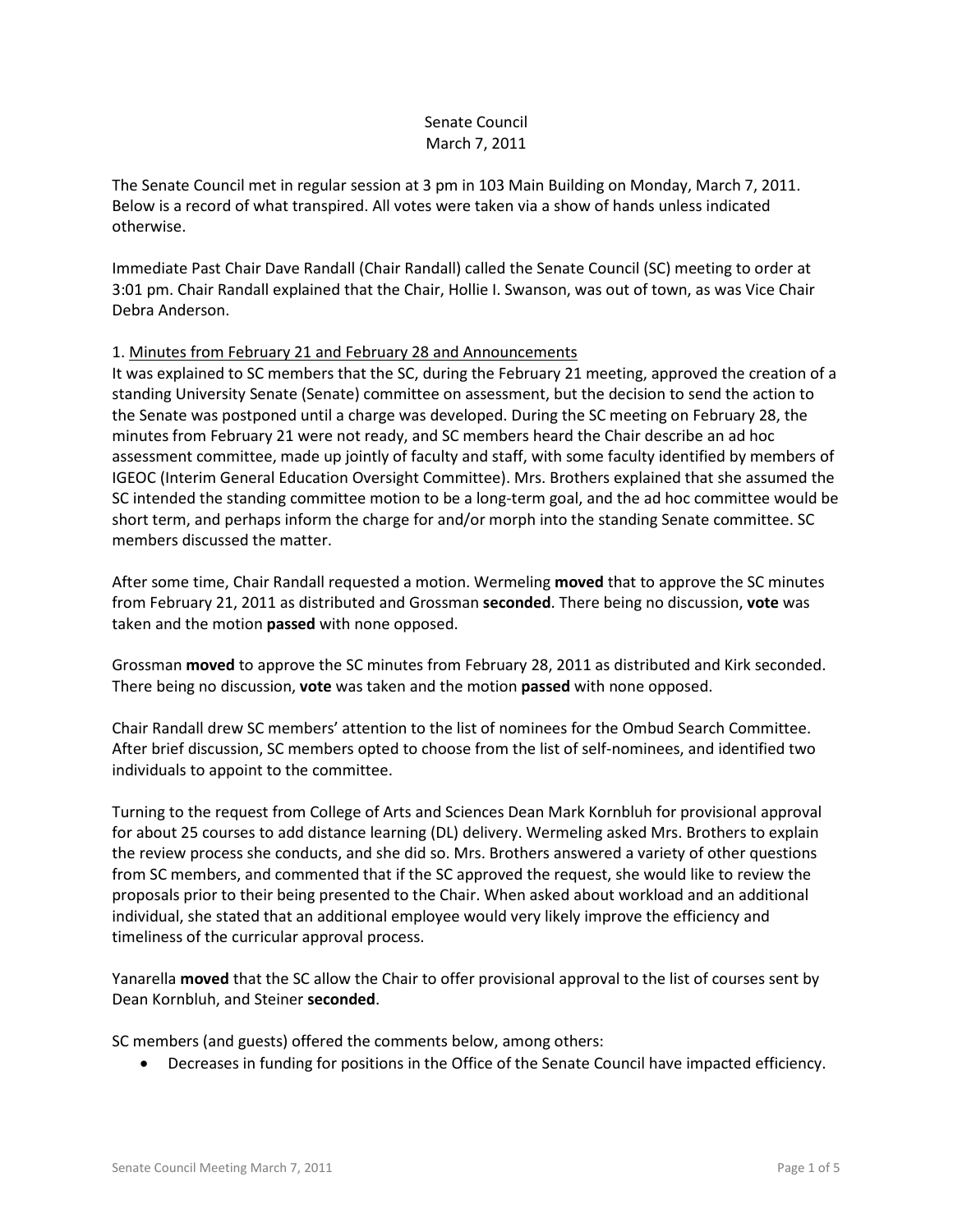# Senate Council March 7, 2011

The Senate Council met in regular session at 3 pm in 103 Main Building on Monday, March 7, 2011. Below is a record of what transpired. All votes were taken via a show of hands unless indicated otherwise.

Immediate Past Chair Dave Randall (Chair Randall) called the Senate Council (SC) meeting to order at 3:01 pm. Chair Randall explained that the Chair, Hollie I. Swanson, was out of town, as was Vice Chair Debra Anderson.

# 1. Minutes from February 21 and February 28 and Announcements

It was explained to SC members that the SC, during the February 21 meeting, approved the creation of a standing University Senate (Senate) committee on assessment, but the decision to send the action to the Senate was postponed until a charge was developed. During the SC meeting on February 28, the minutes from February 21 were not ready, and SC members heard the Chair describe an ad hoc assessment committee, made up jointly of faculty and staff, with some faculty identified by members of IGEOC (Interim General Education Oversight Committee). Mrs. Brothers explained that she assumed the SC intended the standing committee motion to be a long-term goal, and the ad hoc committee would be short term, and perhaps inform the charge for and/or morph into the standing Senate committee. SC members discussed the matter.

After some time, Chair Randall requested a motion. Wermeling **moved** that to approve the SC minutes from February 21, 2011 as distributed and Grossman **seconded**. There being no discussion, **vote** was taken and the motion **passed** with none opposed.

Grossman **moved** to approve the SC minutes from February 28, 2011 as distributed and Kirk seconded. There being no discussion, **vote** was taken and the motion **passed** with none opposed.

Chair Randall drew SC members' attention to the list of nominees for the Ombud Search Committee. After brief discussion, SC members opted to choose from the list of self-nominees, and identified two individuals to appoint to the committee.

Turning to the request from College of Arts and Sciences Dean Mark Kornbluh for provisional approval for about 25 courses to add distance learning (DL) delivery. Wermeling asked Mrs. Brothers to explain the review process she conducts, and she did so. Mrs. Brothers answered a variety of other questions from SC members, and commented that if the SC approved the request, she would like to review the proposals prior to their being presented to the Chair. When asked about workload and an additional individual, she stated that an additional employee would very likely improve the efficiency and timeliness of the curricular approval process.

Yanarella **moved** that the SC allow the Chair to offer provisional approval to the list of courses sent by Dean Kornbluh, and Steiner **seconded**.

SC members (and guests) offered the comments below, among others:

• Decreases in funding for positions in the Office of the Senate Council have impacted efficiency.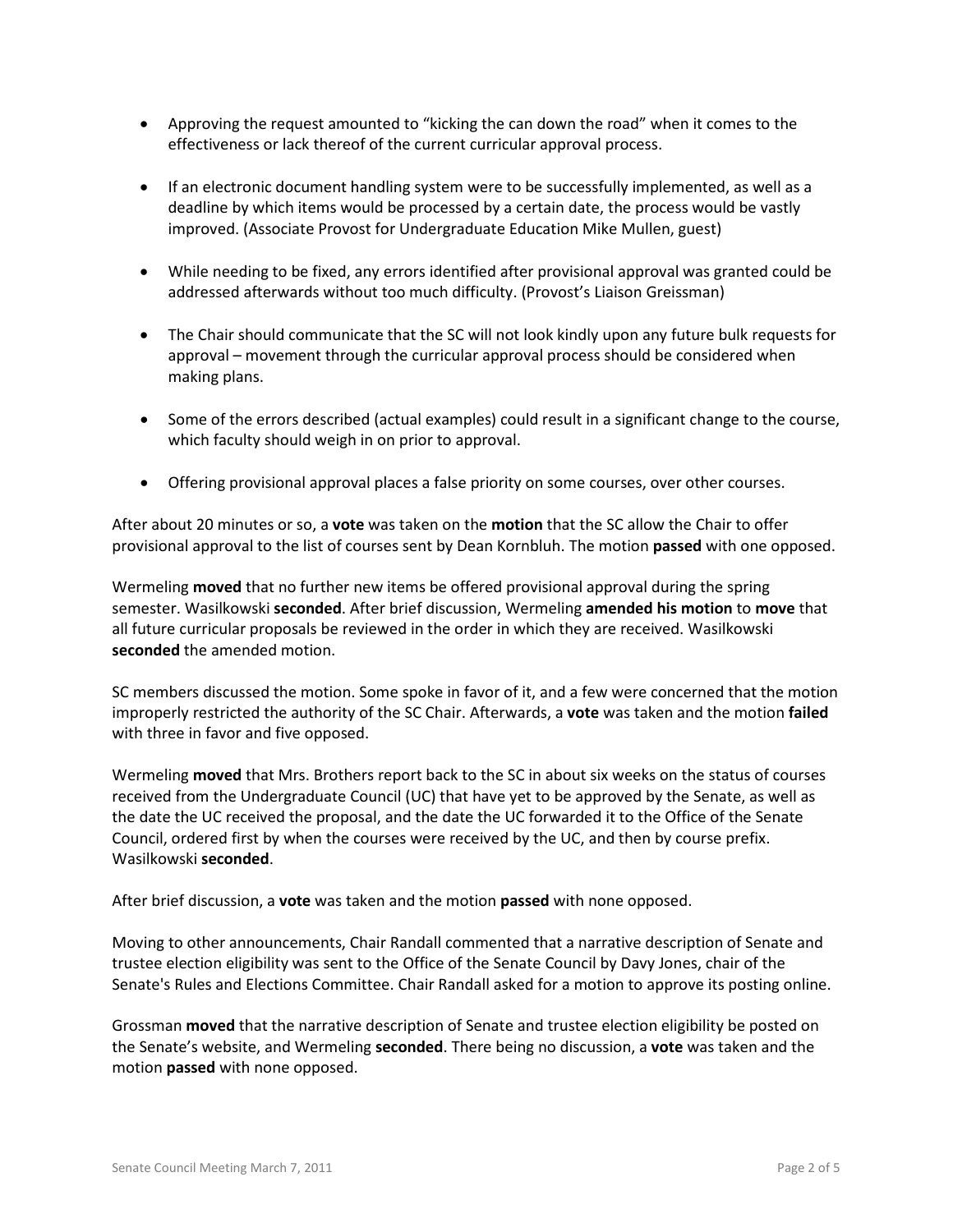- Approving the request amounted to "kicking the can down the road" when it comes to the effectiveness or lack thereof of the current curricular approval process.
- If an electronic document handling system were to be successfully implemented, as well as a deadline by which items would be processed by a certain date, the process would be vastly improved. (Associate Provost for Undergraduate Education Mike Mullen, guest)
- While needing to be fixed, any errors identified after provisional approval was granted could be addressed afterwards without too much difficulty. (Provost's Liaison Greissman)
- The Chair should communicate that the SC will not look kindly upon any future bulk requests for approval – movement through the curricular approval process should be considered when making plans.
- Some of the errors described (actual examples) could result in a significant change to the course, which faculty should weigh in on prior to approval.
- Offering provisional approval places a false priority on some courses, over other courses.

After about 20 minutes or so, a **vote** was taken on the **motion** that the SC allow the Chair to offer provisional approval to the list of courses sent by Dean Kornbluh. The motion **passed** with one opposed.

Wermeling **moved** that no further new items be offered provisional approval during the spring semester. Wasilkowski **seconded**. After brief discussion, Wermeling **amended his motion** to **move** that all future curricular proposals be reviewed in the order in which they are received. Wasilkowski **seconded** the amended motion.

SC members discussed the motion. Some spoke in favor of it, and a few were concerned that the motion improperly restricted the authority of the SC Chair. Afterwards, a **vote** was taken and the motion **failed** with three in favor and five opposed.

Wermeling **moved** that Mrs. Brothers report back to the SC in about six weeks on the status of courses received from the Undergraduate Council (UC) that have yet to be approved by the Senate, as well as the date the UC received the proposal, and the date the UC forwarded it to the Office of the Senate Council, ordered first by when the courses were received by the UC, and then by course prefix. Wasilkowski **seconded**.

After brief discussion, a **vote** was taken and the motion **passed** with none opposed.

Moving to other announcements, Chair Randall commented that a narrative description of Senate and trustee election eligibility was sent to the Office of the Senate Council by Davy Jones, chair of the Senate's Rules and Elections Committee. Chair Randall asked for a motion to approve its posting online.

Grossman **moved** that the narrative description of Senate and trustee election eligibility be posted on the Senate's website, and Wermeling **seconded**. There being no discussion, a **vote** was taken and the motion **passed** with none opposed.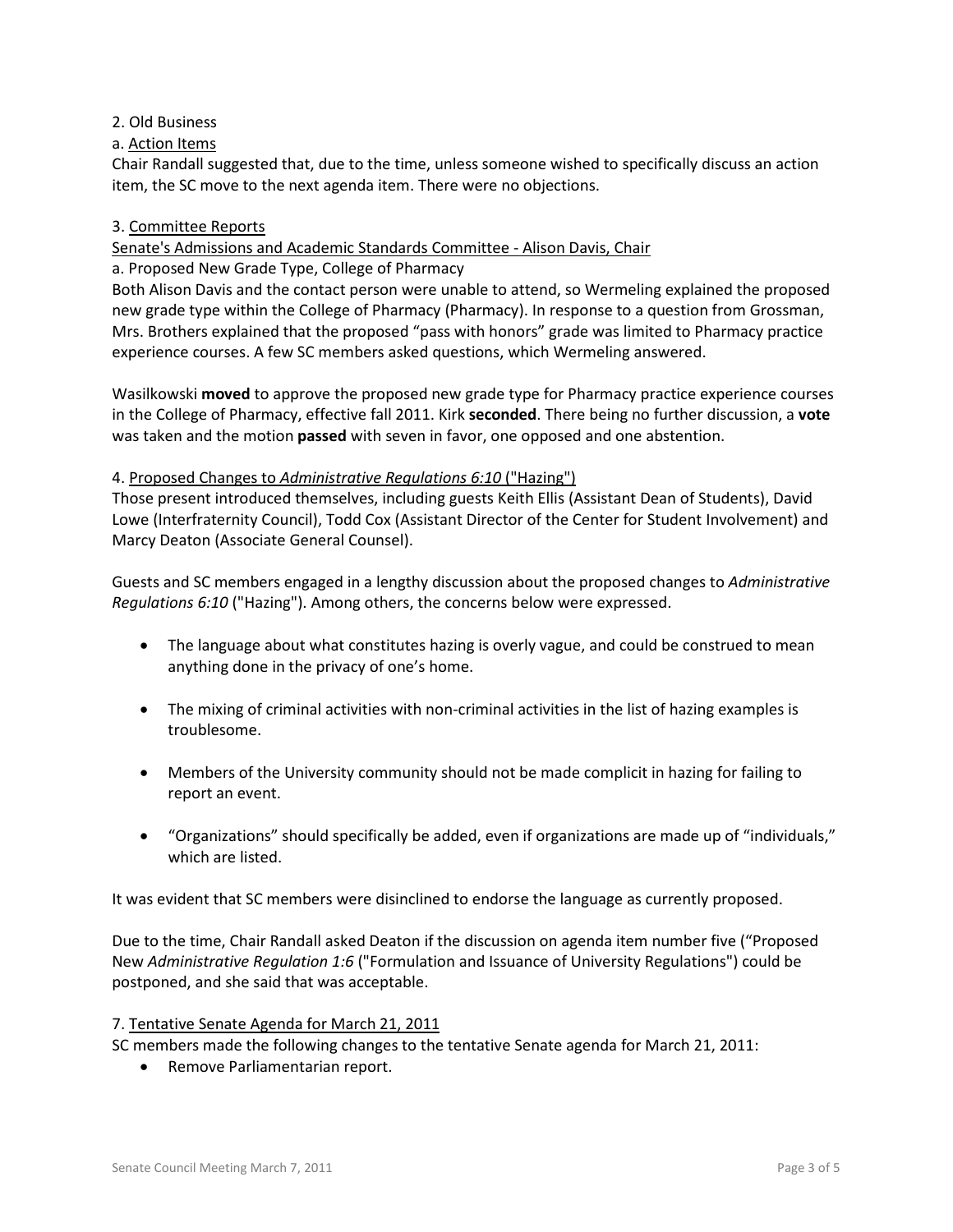# 2. Old Business

a. Action Items

Chair Randall suggested that, due to the time, unless someone wished to specifically discuss an action item, the SC move to the next agenda item. There were no objections.

# 3. Committee Reports

Senate's Admissions and Academic Standards Committee - Alison Davis, Chair

a. Proposed New Grade Type, College of Pharmacy

Both Alison Davis and the contact person were unable to attend, so Wermeling explained the proposed new grade type within the College of Pharmacy (Pharmacy). In response to a question from Grossman, Mrs. Brothers explained that the proposed "pass with honors" grade was limited to Pharmacy practice experience courses. A few SC members asked questions, which Wermeling answered.

Wasilkowski **moved** to approve the proposed new grade type for Pharmacy practice experience courses in the College of Pharmacy, effective fall 2011. Kirk **seconded**. There being no further discussion, a **vote** was taken and the motion **passed** with seven in favor, one opposed and one abstention.

### 4. Proposed Changes to *Administrative Regulations 6:10* ("Hazing")

Those present introduced themselves, including guests Keith Ellis (Assistant Dean of Students), David Lowe (Interfraternity Council), Todd Cox (Assistant Director of the Center for Student Involvement) and Marcy Deaton (Associate General Counsel).

Guests and SC members engaged in a lengthy discussion about the proposed changes to *Administrative Regulations 6:10* ("Hazing"). Among others, the concerns below were expressed.

- The language about what constitutes hazing is overly vague, and could be construed to mean anything done in the privacy of one's home.
- The mixing of criminal activities with non-criminal activities in the list of hazing examples is troublesome.
- Members of the University community should not be made complicit in hazing for failing to report an event.
- "Organizations" should specifically be added, even if organizations are made up of "individuals," which are listed.

It was evident that SC members were disinclined to endorse the language as currently proposed.

Due to the time, Chair Randall asked Deaton if the discussion on agenda item number five ("Proposed New *Administrative Regulation 1:6* ("Formulation and Issuance of University Regulations") could be postponed, and she said that was acceptable.

#### 7. Tentative Senate Agenda for March 21, 2011

SC members made the following changes to the tentative Senate agenda for March 21, 2011:

• Remove Parliamentarian report.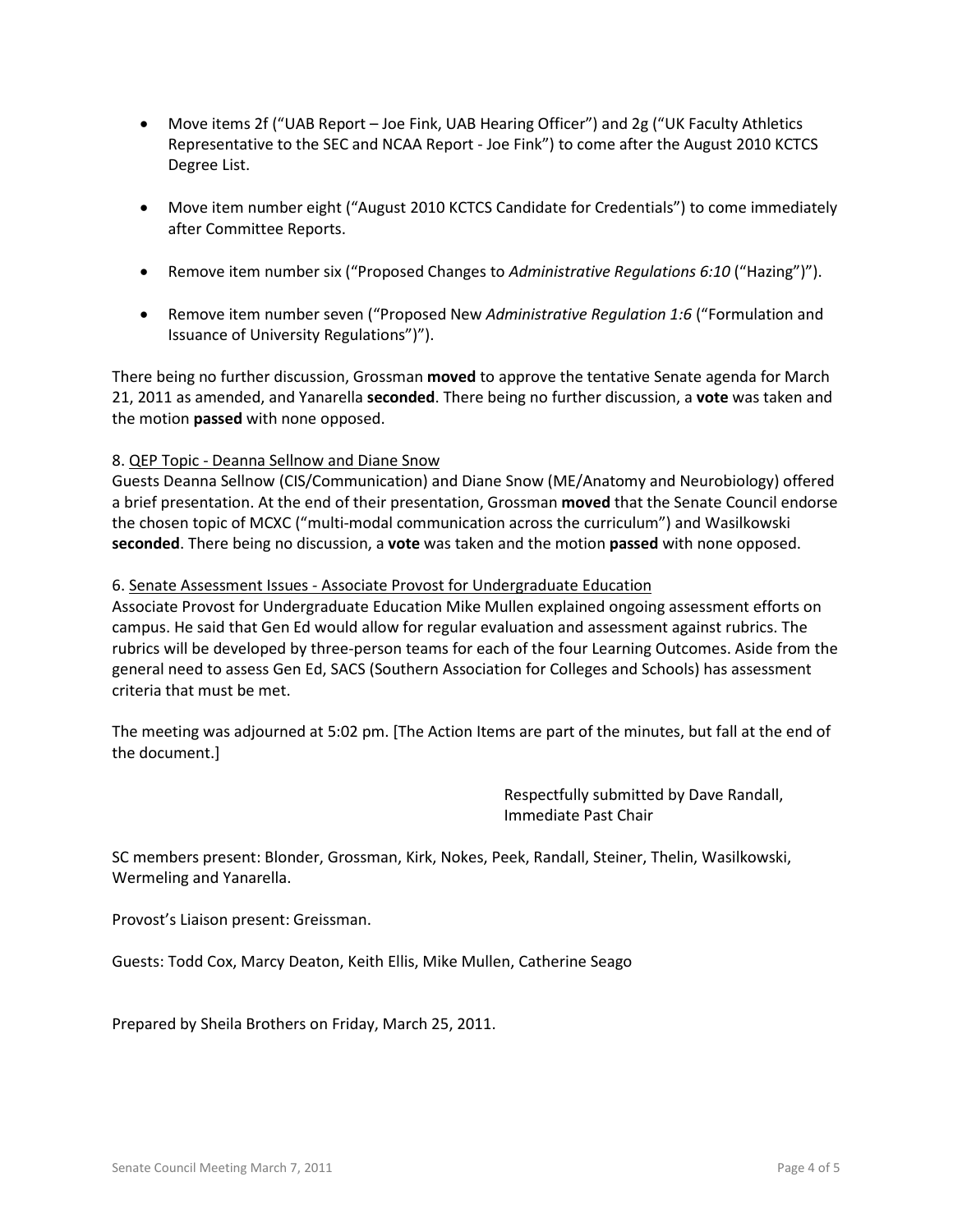- Move items 2f ("UAB Report Joe Fink, UAB Hearing Officer") and 2g ("UK Faculty Athletics Representative to the SEC and NCAA Report - Joe Fink") to come after the August 2010 KCTCS Degree List.
- Move item number eight ("August 2010 KCTCS Candidate for Credentials") to come immediately after Committee Reports.
- Remove item number six ("Proposed Changes to *Administrative Regulations 6:10* ("Hazing")").
- Remove item number seven ("Proposed New *Administrative Regulation 1:6* ("Formulation and Issuance of University Regulations")").

There being no further discussion, Grossman **moved** to approve the tentative Senate agenda for March 21, 2011 as amended, and Yanarella **seconded**. There being no further discussion, a **vote** was taken and the motion **passed** with none opposed.

# 8. QEP Topic - Deanna Sellnow and Diane Snow

Guests Deanna Sellnow (CIS/Communication) and Diane Snow (ME/Anatomy and Neurobiology) offered a brief presentation. At the end of their presentation, Grossman **moved** that the Senate Council endorse the chosen topic of MCXC ("multi-modal communication across the curriculum") and Wasilkowski **seconded**. There being no discussion, a **vote** was taken and the motion **passed** with none opposed.

### 6. Senate Assessment Issues - Associate Provost for Undergraduate Education

Associate Provost for Undergraduate Education Mike Mullen explained ongoing assessment efforts on campus. He said that Gen Ed would allow for regular evaluation and assessment against rubrics. The rubrics will be developed by three-person teams for each of the four Learning Outcomes. Aside from the general need to assess Gen Ed, SACS (Southern Association for Colleges and Schools) has assessment criteria that must be met.

The meeting was adjourned at 5:02 pm. [The Action Items are part of the minutes, but fall at the end of the document.]

> Respectfully submitted by Dave Randall, Immediate Past Chair

SC members present: Blonder, Grossman, Kirk, Nokes, Peek, Randall, Steiner, Thelin, Wasilkowski, Wermeling and Yanarella.

Provost's Liaison present: Greissman.

Guests: Todd Cox, Marcy Deaton, Keith Ellis, Mike Mullen, Catherine Seago

Prepared by Sheila Brothers on Friday, March 25, 2011.